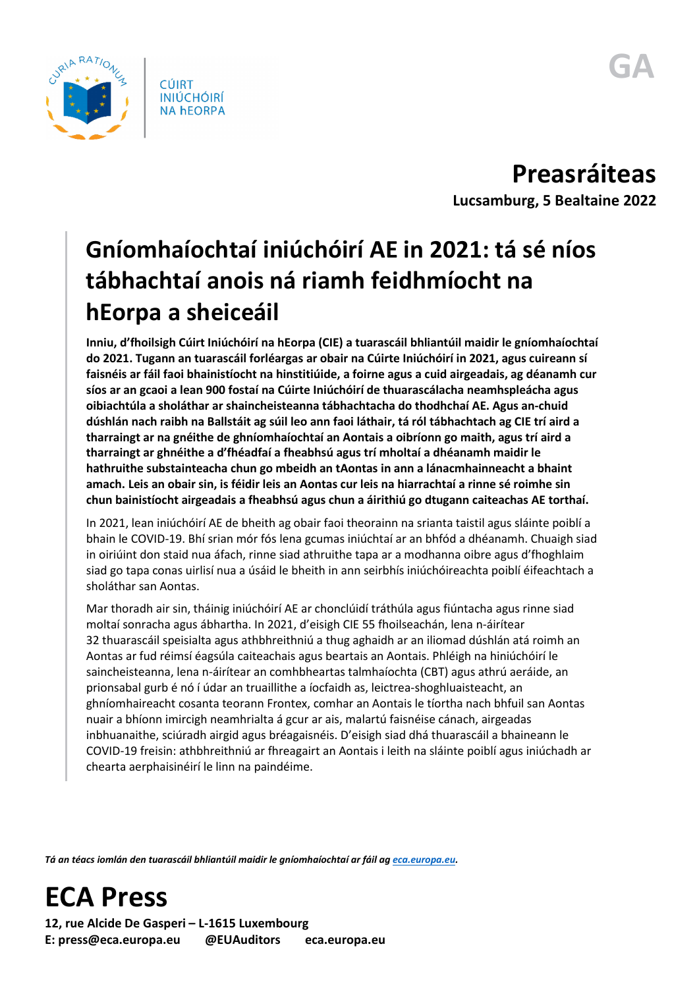

**Preasráiteas Lucsamburg, 5 Bealtaine 2022**

## **Gníomhaíochtaí iniúchóirí AE in 2021: tá sé níos tábhachtaí anois ná riamh feidhmíocht na hEorpa a sheiceáil**

**Inniu, d'fhoilsigh Cúirt Iniúchóirí na hEorpa (CIE) a tuarascáil bhliantúil maidir le gníomhaíochtaí do 2021. Tugann an tuarascáil forléargas ar obair na Cúirte Iniúchóirí in 2021, agus cuireann sí faisnéis ar fáil faoi bhainistíocht na hinstitiúide, a foirne agus a cuid airgeadais, ag déanamh cur síos ar an gcaoi a lean 900 fostaí na Cúirte Iniúchóirí de thuarascálacha neamhspleácha agus oibiachtúla a sholáthar ar shaincheisteanna tábhachtacha do thodhchaí AE. Agus an-chuid dúshlán nach raibh na Ballstáit ag súil leo ann faoi láthair, tá ról tábhachtach ag CIE trí aird a tharraingt ar na gnéithe de ghníomhaíochtaí an Aontais a oibríonn go maith, agus trí aird a tharraingt ar ghnéithe a d'fhéadfaí a fheabhsú agus trí mholtaí a dhéanamh maidir le hathruithe substainteacha chun go mbeidh an tAontas in ann a lánacmhainneacht a bhaint amach. Leis an obair sin, is féidir leis an Aontas cur leis na hiarrachtaí a rinne sé roimhe sin chun bainistíocht airgeadais a fheabhsú agus chun a áirithiú go dtugann caiteachas AE torthaí.**

In 2021, lean iniúchóirí AE de bheith ag obair faoi theorainn na srianta taistil agus sláinte poiblí a bhain le COVID-19. Bhí srian mór fós lena gcumas iniúchtaí ar an bhfód a dhéanamh. Chuaigh siad in oiriúint don staid nua áfach, rinne siad athruithe tapa ar a modhanna oibre agus d'fhoghlaim siad go tapa conas uirlisí nua a úsáid le bheith in ann seirbhís iniúchóireachta poiblí éifeachtach a sholáthar san Aontas.

Mar thoradh air sin, tháinig iniúchóirí AE ar chonclúidí tráthúla agus fiúntacha agus rinne siad moltaí sonracha agus ábhartha. In 2021, d'eisigh CIE 55 fhoilseachán, lena n-áirítear 32 thuarascáil speisialta agus athbhreithniú a thug aghaidh ar an iliomad dúshlán atá roimh an Aontas ar fud réimsí éagsúla caiteachais agus beartais an Aontais. Phléigh na hiniúchóirí le saincheisteanna, lena n-áirítear an comhbheartas talmhaíochta (CBT) agus athrú aeráide, an prionsabal gurb é nó í údar an truaillithe a íocfaidh as, leictrea-shoghluaisteacht, an ghníomhaireacht cosanta teorann Frontex, comhar an Aontais le tíortha nach bhfuil san Aontas nuair a bhíonn imircigh neamhrialta á gcur ar ais, malartú faisnéise cánach, airgeadas inbhuanaithe, sciúradh airgid agus bréagaisnéis. D'eisigh siad dhá thuarascáil a bhaineann le COVID-19 freisin: athbhreithniú ar fhreagairt an Aontais i leith na sláinte poiblí agus iniúchadh ar chearta aerphaisinéirí le linn na paindéime.

*Tá an téacs iomlán den tuarascáil bhliantúil maidir le gníomhaíochtaí ar fáil a[g eca.europa.eu.](https://www.eca.europa.eu/)* 

## **ECA Press**

**12, rue Alcide De Gasperi – L-1615 Luxembourg E: press@eca.europa.eu @EUAuditors eca.europa.eu**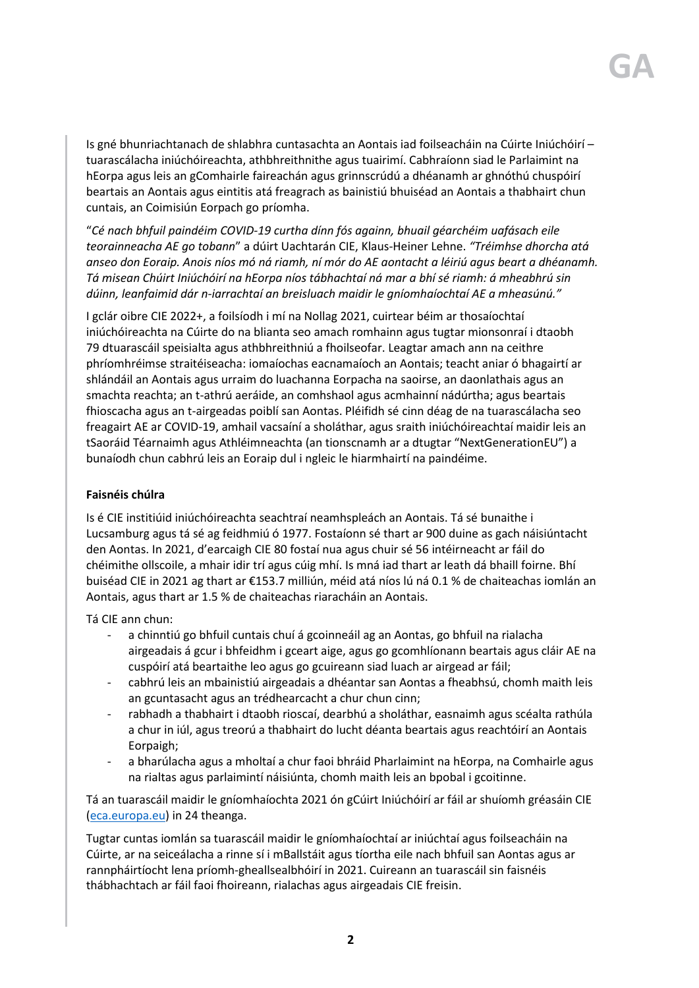Is gné bhunriachtanach de shlabhra cuntasachta an Aontais iad foilseacháin na Cúirte Iniúchóirí – tuarascálacha iniúchóireachta, athbhreithnithe agus tuairimí. Cabhraíonn siad le Parlaimint na hEorpa agus leis an gComhairle faireachán agus grinnscrúdú a dhéanamh ar ghnóthú chuspóirí beartais an Aontais agus eintitis atá freagrach as bainistiú bhuiséad an Aontais a thabhairt chun cuntais, an Coimisiún Eorpach go príomha.

"*Cé nach bhfuil paindéim COVID-19 curtha dínn fós againn, bhuail géarchéim uafásach eile teorainneacha AE go tobann*" a dúirt Uachtarán CIE, Klaus-Heiner Lehne. *"Tréimhse dhorcha atá anseo don Eoraip. Anois níos mó ná riamh, ní mór do AE aontacht a léiriú agus beart a dhéanamh. Tá misean Chúirt Iniúchóirí na hEorpa níos tábhachtaí ná mar a bhí sé riamh: á mheabhrú sin dúinn, leanfaimid dár n-iarrachtaí an breisluach maidir le gníomhaíochtaí AE a mheasúnú."*

I gclár oibre CIE 2022+, a foilsíodh i mí na Nollag 2021, cuirtear béim ar thosaíochtaí iniúchóireachta na Cúirte do na blianta seo amach romhainn agus tugtar mionsonraí i dtaobh 79 dtuarascáil speisialta agus athbhreithniú a fhoilseofar. Leagtar amach ann na ceithre phríomhréimse straitéiseacha: iomaíochas eacnamaíoch an Aontais; teacht aniar ó bhagairtí ar shlándáil an Aontais agus urraim do luachanna Eorpacha na saoirse, an daonlathais agus an smachta reachta; an t-athrú aeráide, an comhshaol agus acmhainní nádúrtha; agus beartais fhioscacha agus an t-airgeadas poiblí san Aontas. Pléifidh sé cinn déag de na tuarascálacha seo freagairt AE ar COVID-19, amhail vacsaíní a sholáthar, agus sraith iniúchóireachtaí maidir leis an tSaoráid Téarnaimh agus Athléimneachta (an tionscnamh ar a dtugtar "NextGenerationEU") a bunaíodh chun cabhrú leis an Eoraip dul i ngleic le hiarmhairtí na paindéime.

## **Faisnéis chúlra**

Is é CIE institiúid iniúchóireachta seachtraí neamhspleách an Aontais. Tá sé bunaithe i Lucsamburg agus tá sé ag feidhmiú ó 1977. Fostaíonn sé thart ar 900 duine as gach náisiúntacht den Aontas. In 2021, d'earcaigh CIE 80 fostaí nua agus chuir sé 56 intéirneacht ar fáil do chéimithe ollscoile, a mhair idir trí agus cúig mhí. Is mná iad thart ar leath dá bhaill foirne. Bhí buiséad CIE in 2021 ag thart ar €153.7 milliún, méid atá níos lú ná 0.1 % de chaiteachas iomlán an Aontais, agus thart ar 1.5 % de chaiteachas riaracháin an Aontais.

Tá CIE ann chun:

- a chinntiú go bhfuil cuntais chuí á gcoinneáil ag an Aontas, go bhfuil na rialacha airgeadais á gcur i bhfeidhm i gceart aige, agus go gcomhlíonann beartais agus cláir AE na cuspóirí atá beartaithe leo agus go gcuireann siad luach ar airgead ar fáil;
- cabhrú leis an mbainistiú airgeadais a dhéantar san Aontas a fheabhsú, chomh maith leis an gcuntasacht agus an trédhearcacht a chur chun cinn;
- rabhadh a thabhairt i dtaobh rioscaí, dearbhú a sholáthar, easnaimh agus scéalta rathúla a chur in iúl, agus treorú a thabhairt do lucht déanta beartais agus reachtóirí an Aontais Eorpaigh;
- a bharúlacha agus a mholtaí a chur faoi bhráid Pharlaimint na hEorpa, na Comhairle agus na rialtas agus parlaimintí náisiúnta, chomh maith leis an bpobal i gcoitinne.

Tá an tuarascáil maidir le gníomhaíochta 2021 ón gCúirt Iniúchóirí ar fáil ar shuíomh gréasáin CIE [\(eca.europa.eu\)](https://www.eca.europa.eu/ga/Pages/ecadefault.aspx) in 24 theanga.

Tugtar cuntas iomlán sa tuarascáil maidir le gníomhaíochtaí ar iniúchtaí agus foilseacháin na Cúirte, ar na seiceálacha a rinne sí i mBallstáit agus tíortha eile nach bhfuil san Aontas agus ar rannpháirtíocht lena príomh-gheallsealbhóirí in 2021. Cuireann an tuarascáil sin faisnéis thábhachtach ar fáil faoi fhoireann, rialachas agus airgeadais CIE freisin.